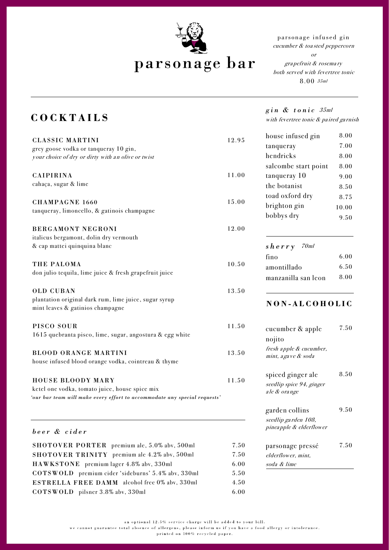

## parsonage bar

parsonage infused gin cucumber & toa sted peppercorn

or gra pefruit & rosema ry both served with fevertree tonic 8.00 35ml

## **COCKTAILS**

| <b>CLASSIC MARTINI</b><br>grey goose vodka or tanqueray 10 gin,<br>your choice of dry or dirty with an olive or twist                                   | 12.95 |
|---------------------------------------------------------------------------------------------------------------------------------------------------------|-------|
| <b>CAIPIRINA</b><br>cahaça, sugar & lime                                                                                                                | 11.00 |
| <b>CHAMPAGNE 1660</b><br>tanqueray, limoncello, & gatinois champagne                                                                                    | 15.00 |
| <b>BERGAMONT NEGRONI</b><br>italicus bergamont, dolin dry vermouth<br>& cap mattei quinquina blanc                                                      | 12.00 |
| THE PALOMA<br>don julio tequila, lime juice & fresh grapefruit juice                                                                                    | 10.50 |
| <b>OLD CUBAN</b><br>plantation original dark rum, lime juice, sugar syrup<br>mint leaves & gatinios champagne                                           | 13.50 |
| PISCO SOUR<br>1615 quebranta pisco, lime, sugar, angostura & egg white                                                                                  | 11.50 |
| <b>BLOOD ORANGE MARTINI</b><br>house infused blood orange vodka, cointreau & thyme                                                                      | 13.50 |
| <b>HOUSE BLOODY MARY</b><br>ketel one vodka, tomato juice, house spice mix<br>'our bar team will make every effort to accommodate any special requests' | 11.50 |
| beer & cider                                                                                                                                            |       |

SHOTOVER PORTER premium ale, 5.0% abv, 500ml 7.50 SHOTOVER TRINITY premium ale 4.2% abv, 500ml 7.50 HAWKSTONE premium lager 4.8% abv, 330ml 6.00 COTSWOLD premium cider 'sideburns' 5.4% abv, 330ml 5.50 ESTRELLA FREE DAMM alcohol free 0% abv, 330ml 4.50 COTSWOLD pilsner 3.8% abv, 330ml 6.00 *gin & tonic* 35ml with fevertree tonic & paired garnish

8.00

house infused gin

| tanqueray            | 7.00  |
|----------------------|-------|
| hendricks            | 8.00  |
| salcombe start point | 8.00  |
| tanqueray 10         | 9.00  |
| the botanist         | 8.50  |
| toad oxford dry      | 8.75  |
| brighton gin         | 10.00 |
| bobbys dry           | 9.50  |
| 70ml<br>sherry       |       |
| fino                 | 6.00  |
| amontillado          | 6.50  |
| manzanilla san leon  | 8.00  |
|                      |       |

## **NON - ALCOHOLIC**

| cucumber & apple                               | 7.50 |
|------------------------------------------------|------|
| nojito                                         |      |
| fresh apple & cucumber,<br>mint, a gave & soda |      |
| spiced ginger ale                              | 8.50 |
| seedlip spice 94, ginger<br>ale & orange       |      |
| garden collins                                 | 9.50 |
| seedlip garden 108,                            |      |
| pineapple & elderflower                        |      |
| parsonage pressé                               | 7.50 |
| elderflower, mint,                             |      |
| soda & lime                                    |      |

an optional 12.5% service charge will be added to your bill.

we cannot guarantee total absence of allergens, please inform us if you have a food allergy or intolerance.

printed on 100% recycled paper.